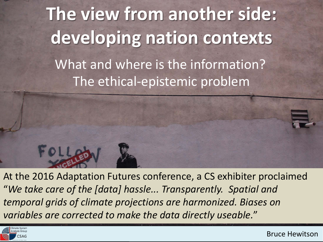



https://www.flickr.com/photos/cdevers/4602804480/ At the 2016 Adaptation Futures conference, a CS exhibiter proclaimed "*We take care of the [data] hassle... Transparently. Spatial and temporal grids of climate projections are harmonized. Biases on variables are corrected to make the data directly useable.*"

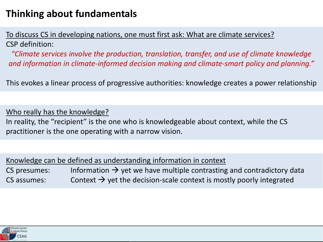To discuss CS in developing nations, one must first ask: What are climate services? CSP definition:

*"Climate services involve the production, translation, transfer, and use of climate knowledge and information in climate-informed decision making and climate-smart policy and planning."*

This evokes a linear process of progressive authorities: knowledge creates a power relationship

Who really has the knowledge? In reality, the "recipient" is the one who is knowledgeable about context, while the CS practitioner is the one operating with a narrow vision.

| Knowledge can be defined as understanding information in context |  |
|------------------------------------------------------------------|--|
|------------------------------------------------------------------|--|

| CS presumes: | Information $\rightarrow$ yet we have multiple contrasting and contradictory data |
|--------------|-----------------------------------------------------------------------------------|
| CS assumes:  | Context $\rightarrow$ yet the decision-scale context is mostly poorly integrated  |

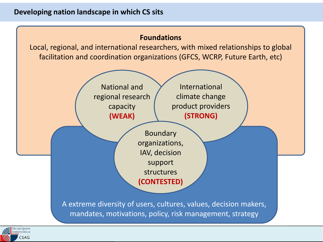

Local, regional, and international researchers, with mixed relationships to global facilitation and coordination organizations (GFCS, WCRP, Future Earth, etc)



mandates, motivations, policy, risk management, strategy

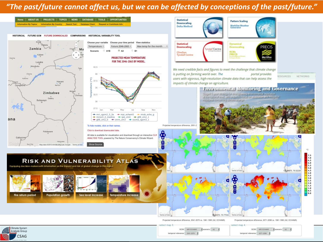#### *"The past/future cannot affect us, but we can be affected by conceptions of the past/future."*

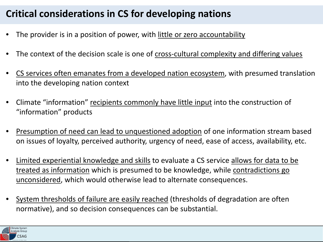## **Critical considerations in CS for developing nations**

- The provider is in a position of power, with little or zero accountability
- The context of the decision scale is one of cross-cultural complexity and differing values
- CS services often emanates from a developed nation ecosystem, with presumed translation into the developing nation context
- Climate "information" recipients commonly have little input into the construction of "information" products
- Presumption of need can lead to unquestioned adoption of one information stream based on issues of loyalty, perceived authority, urgency of need, ease of access, availability, etc.
- Limited experiential knowledge and skills to evaluate a CS service allows for data to be treated as information which is presumed to be knowledge, while contradictions go unconsidered, which would otherwise lead to alternate consequences.
- System thresholds of failure are easily reached (thresholds of degradation are often normative), and so decision consequences can be substantial.

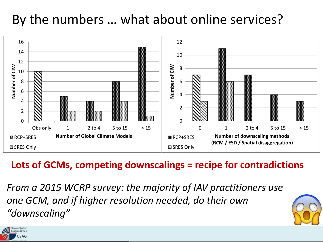## By the numbers … what about online services?



### **Lots of GCMs, competing downscalings = recipe for contradictions**

*From a 2015 WCRP survey: the majority of IAV practitioners use one GCM, and if higher resolution needed, do their own "downscaling"* 

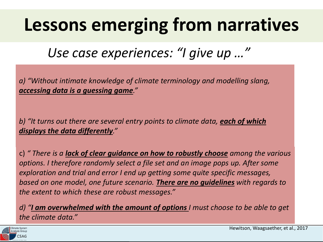# **Lessons emerging from narratives**

*Use case experiences: "I give up …"*

a) Much is assumed of the user's familiarity with terminology *accessing data is a guessing game." a) "Without intimate knowledge of climate terminology and modelling slang,* 

b) "It turns out there are several entry points to climate data, **<u>each of which</u> displays the data differently**."

options. I therefore randomly select a file set and an image pops up. After some **cannot** exploration and trial and error I end up getting some quite specific messages, *exploration and trial and error I end up getting some quite specific messages*, based on one model, one future scenario. **There are no guidelines** with regards to the extent to which these are robust messages." c) *" There is a lack of clear guidance on how to robustly choose among the various the extent to which these are robust messages."*

*d)* "*I* **am overwhelmed with the amount of options** *I* must choose to be able to get the climate data" *the climate data."*

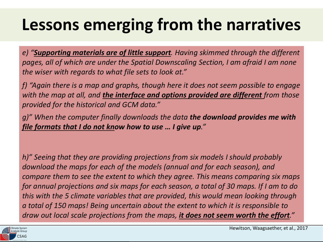# **Lessons emerging from the narratives**

e) <u>Guppersing indictions are of indice or ppers</u>e rearing channels an eager the angle one<br>pages, all of which are under the Spatial Downscaling Section, I am afraid I am none *e) "Supporting materials are of little support. Having skimmed through the different the wiser with regards to what file sets to look at."*

f) "Again there is a map and graphs, though here it does not seem possible to engage<br>with the map at all, and **the interface and entiene mavided are different** from these with the map at all, and <u>the interface and</u><br>*provided for the historical and GCM data.*" *with the map at all, and the interface and options provided are different from those* 

g) There is a presumed degree of (significant) technical skills by *file formats that I do not know how to use … I give up." g)" When the computer finally downloads the data the download provides me with* 

download the maps for each of the models (annual and for each season), and *compare them to see the extent to which they agree. This means comparing six maps for annual projections and six maps for excels seggen, a total of 20 mans. If I am to do.* for annual projections and six maps for each season, a total of 30 maps. if rain to ao<br>this with the 5 climate variables that are provided, this would mean looking through *h)" Seeing that they are providing projections from six models I should probably for annual projections and six maps for each season, a total of 30 maps. If I am to do a total of 150 maps! Being uncertain about the extent to which it is responsible to draw out local scale projections from the maps, it does not seem worth the effort."*

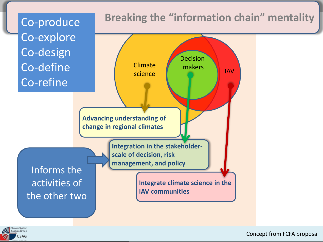